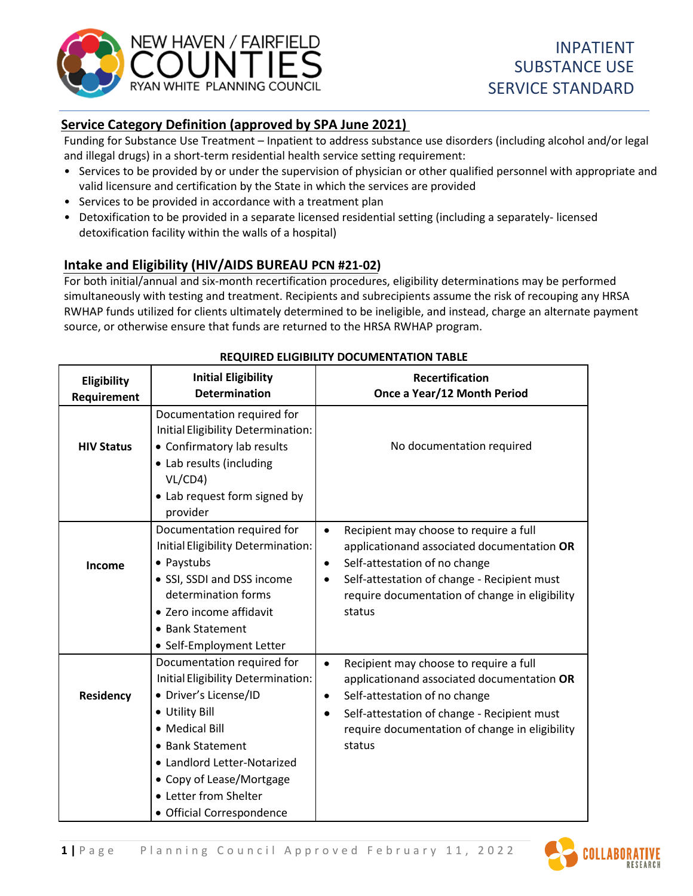

# **Service Category Definition (approved by SPA June 2021)**

Funding for Substance Use Treatment – Inpatient to address substance use disorders (including alcohol and/or legal and illegal drugs) in a short-term residential health service setting requirement:

- Services to be provided by or under the supervision of physician or other qualified personnel with appropriate and valid licensure and certification by the State in which the services are provided
- Services to be provided in accordance with a treatment plan
- Detoxification to be provided in a separate licensed residential setting (including a separately- licensed detoxification facility within the walls of a hospital)

# **Intake and Eligibility (HIV/AIDS BUREAU PCN #21-02)**

For both initial/annual and six-month recertification procedures, eligibility determinations may be performed simultaneously with testing and treatment. Recipients and subrecipients assume the risk of recouping any HRSA RWHAP funds utilized for clients ultimately determined to be ineligible, and instead, charge an alternate payment source, or otherwise ensure that funds are returned to the HRSA RWHAP program.

| Eligibility<br>Requirement | <b>Initial Eligibility</b><br><b>Determination</b>                                                                                                                                                                                                                 | <b>Recertification</b><br>Once a Year/12 Month Period                                                                                                                                                                                                                   |
|----------------------------|--------------------------------------------------------------------------------------------------------------------------------------------------------------------------------------------------------------------------------------------------------------------|-------------------------------------------------------------------------------------------------------------------------------------------------------------------------------------------------------------------------------------------------------------------------|
| <b>HIV Status</b>          | Documentation required for<br>Initial Eligibility Determination:<br>• Confirmatory lab results<br>• Lab results (including<br>VL/CD4)<br>• Lab request form signed by<br>provider                                                                                  | No documentation required                                                                                                                                                                                                                                               |
| Income                     | Documentation required for<br>Initial Eligibility Determination:<br>• Paystubs<br>• SSI, SSDI and DSS income<br>determination forms<br>• Zero income affidavit<br>• Bank Statement<br>• Self-Employment Letter                                                     | Recipient may choose to require a full<br>$\bullet$<br>applicationand associated documentation OR<br>Self-attestation of no change<br>$\bullet$<br>Self-attestation of change - Recipient must<br>$\bullet$<br>require documentation of change in eligibility<br>status |
| Residency                  | Documentation required for<br>Initial Eligibility Determination:<br>• Driver's License/ID<br>• Utility Bill<br>• Medical Bill<br>• Bank Statement<br>• Landlord Letter-Notarized<br>• Copy of Lease/Mortgage<br>• Letter from Shelter<br>• Official Correspondence | Recipient may choose to require a full<br>$\bullet$<br>applicationand associated documentation OR<br>Self-attestation of no change<br>$\bullet$<br>Self-attestation of change - Recipient must<br>$\bullet$<br>require documentation of change in eligibility<br>status |

# **REQUIRED ELIGIBILITY DOCUMENTATION TABLE**

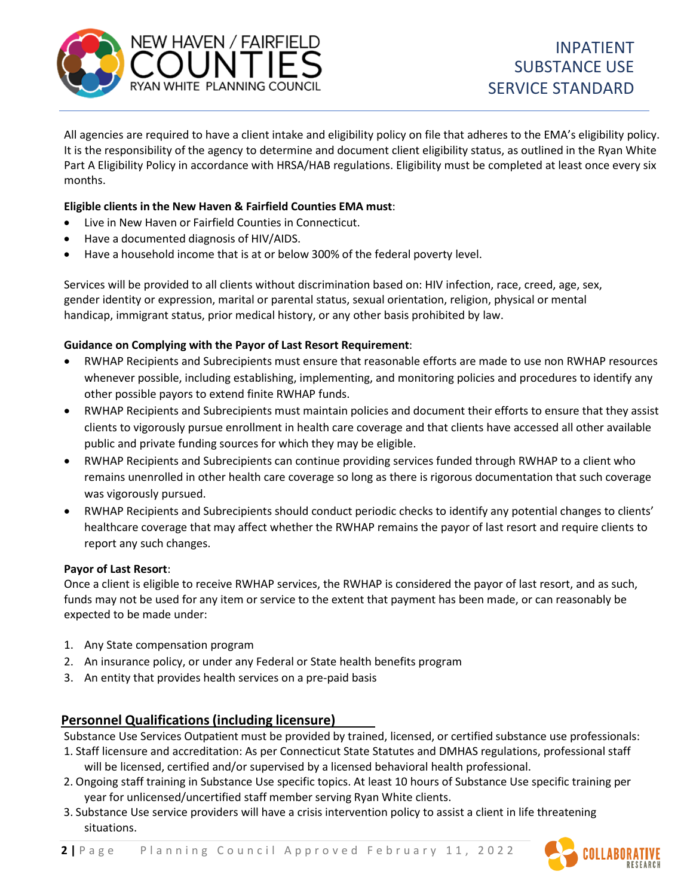

All agencies are required to have a client intake and eligibility policy on file that adheres to the EMA's eligibility policy. It is the responsibility of the agency to determine and document client eligibility status, as outlined in the Ryan White Part A Eligibility Policy in accordance with HRSA/HAB regulations. Eligibility must be completed at least once every six months.

#### **Eligible clients in the New Haven & Fairfield Counties EMA must**:

- Live in New Haven or Fairfield Counties in Connecticut.
- Have a documented diagnosis of HIV/AIDS.
- Have a household income that is at or below 300% of the federal poverty level.

Services will be provided to all clients without discrimination based on: HIV infection, race, creed, age, sex, gender identity or expression, marital or parental status, sexual orientation, religion, physical or mental handicap, immigrant status, prior medical history, or any other basis prohibited by law.

## **Guidance on Complying with the Payor of Last Resort Requirement**:

- RWHAP Recipients and Subrecipients must ensure that reasonable efforts are made to use non RWHAP resources whenever possible, including establishing, implementing, and monitoring policies and procedures to identify any other possible payors to extend finite RWHAP funds.
- RWHAP Recipients and Subrecipients must maintain policies and document their efforts to ensure that they assist clients to vigorously pursue enrollment in health care coverage and that clients have accessed all other available public and private funding sources for which they may be eligible.
- RWHAP Recipients and Subrecipients can continue providing services funded through RWHAP to a client who remains unenrolled in other health care coverage so long as there is rigorous documentation that such coverage was vigorously pursued.
- RWHAP Recipients and Subrecipients should conduct periodic checks to identify any potential changes to clients' healthcare coverage that may affect whether the RWHAP remains the payor of last resort and require clients to report any such changes.

#### **Payor of Last Resort**:

Once a client is eligible to receive RWHAP services, the RWHAP is considered the payor of last resort, and as such, funds may not be used for any item or service to the extent that payment has been made, or can reasonably be expected to be made under:

- 1. Any State compensation program
- 2. An insurance policy, or under any Federal or State health benefits program
- 3. An entity that provides health services on a pre-paid basis

## **Personnel Qualifications(including licensure)**

Substance Use Services Outpatient must be provided by trained, licensed, or certified substance use professionals:

- 1. Staff licensure and accreditation: As per Connecticut State Statutes and DMHAS regulations, professional staff will be licensed, certified and/or supervised by a licensed behavioral health professional.
- 2. Ongoing staff training in Substance Use specific topics. At least 10 hours of Substance Use specific training per year for unlicensed/uncertified staff member serving Ryan White clients.
- 3. Substance Use service providers will have a crisis intervention policy to assist a client in life threatening situations.

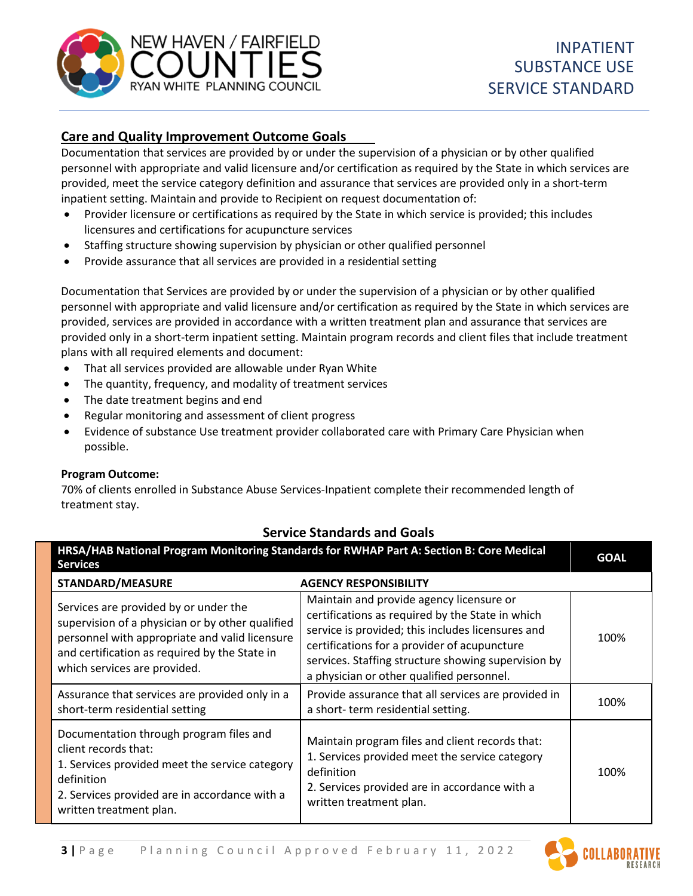

# **Care and Quality Improvement Outcome Goals**

Documentation that services are provided by or under the supervision of a physician or by other qualified personnel with appropriate and valid licensure and/or certification as required by the State in which services are provided, meet the service category definition and assurance that services are provided only in a short-term inpatient setting. Maintain and provide to Recipient on request documentation of:

- Provider licensure or certifications as required by the State in which service is provided; this includes licensures and certifications for acupuncture services
- Staffing structure showing supervision by physician or other qualified personnel
- Provide assurance that all services are provided in a residential setting

Documentation that Services are provided by or under the supervision of a physician or by other qualified personnel with appropriate and valid licensure and/or certification as required by the State in which services are provided, services are provided in accordance with a written treatment plan and assurance that services are provided only in a short-term inpatient setting. Maintain program records and client files that include treatment plans with all required elements and document:

- That all services provided are allowable under Ryan White
- The quantity, frequency, and modality of treatment services
- The date treatment begins and end
- Regular monitoring and assessment of client progress
- Evidence of substance Use treatment provider collaborated care with Primary Care Physician when possible.

#### **Program Outcome:**

70% of clients enrolled in Substance Abuse Services-Inpatient complete their recommended length of treatment stay.

## **Service Standards and Goals**

| HRSA/HAB National Program Monitoring Standards for RWHAP Part A: Section B: Core Medical<br><b>Services</b>                                                                                                                  |                                                                                                                                                                                                                                                                                                       |      |  |
|------------------------------------------------------------------------------------------------------------------------------------------------------------------------------------------------------------------------------|-------------------------------------------------------------------------------------------------------------------------------------------------------------------------------------------------------------------------------------------------------------------------------------------------------|------|--|
| <b>STANDARD/MEASURE</b>                                                                                                                                                                                                      | <b>AGENCY RESPONSIBILITY</b>                                                                                                                                                                                                                                                                          |      |  |
| Services are provided by or under the<br>supervision of a physician or by other qualified<br>personnel with appropriate and valid licensure<br>and certification as required by the State in<br>which services are provided. | Maintain and provide agency licensure or<br>certifications as required by the State in which<br>service is provided; this includes licensures and<br>certifications for a provider of acupuncture<br>services. Staffing structure showing supervision by<br>a physician or other qualified personnel. | 100% |  |
| Assurance that services are provided only in a<br>short-term residential setting                                                                                                                                             | Provide assurance that all services are provided in<br>a short-term residential setting.                                                                                                                                                                                                              | 100% |  |
| Documentation through program files and<br>client records that:<br>1. Services provided meet the service category<br>definition<br>2. Services provided are in accordance with a<br>written treatment plan.                  | Maintain program files and client records that:<br>1. Services provided meet the service category<br>definition<br>2. Services provided are in accordance with a<br>written treatment plan.                                                                                                           | 100% |  |



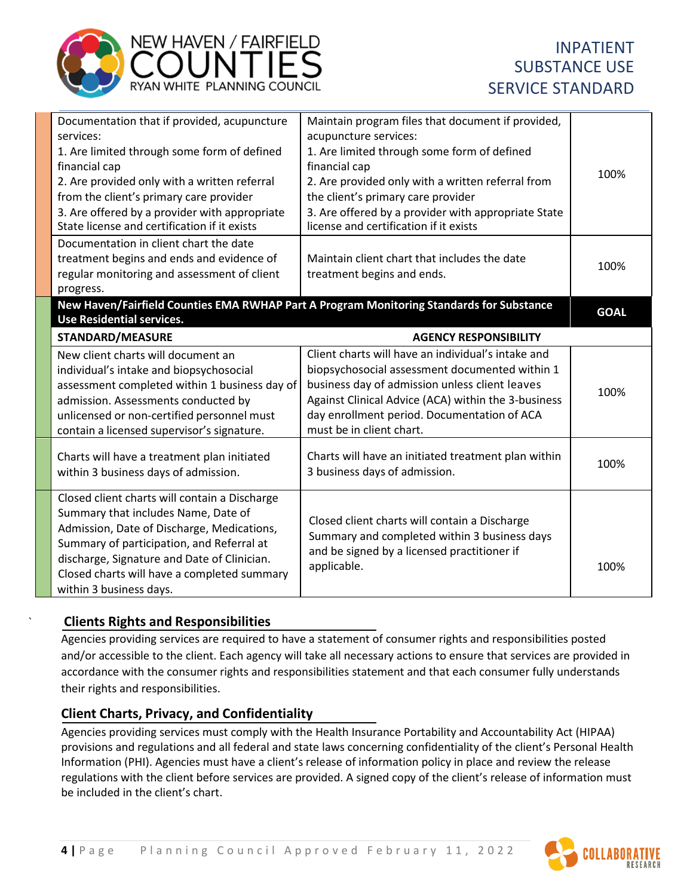

# INPATIENT SUBSTANCE USE SERVICE STANDARD

| Documentation that if provided, acupuncture   | Maintain program files that document if provided,                                        |             |
|-----------------------------------------------|------------------------------------------------------------------------------------------|-------------|
| services:                                     | acupuncture services:                                                                    |             |
| 1. Are limited through some form of defined   | 1. Are limited through some form of defined                                              |             |
| financial cap                                 | financial cap                                                                            | 100%        |
| 2. Are provided only with a written referral  | 2. Are provided only with a written referral from                                        |             |
| from the client's primary care provider       | the client's primary care provider                                                       |             |
| 3. Are offered by a provider with appropriate | 3. Are offered by a provider with appropriate State                                      |             |
| State license and certification if it exists  | license and certification if it exists                                                   |             |
| Documentation in client chart the date        |                                                                                          |             |
| treatment begins and ends and evidence of     | Maintain client chart that includes the date                                             | 100%        |
| regular monitoring and assessment of client   | treatment begins and ends.                                                               |             |
| progress.                                     |                                                                                          |             |
|                                               | New Haven/Fairfield Counties EMA RWHAP Part A Program Monitoring Standards for Substance | <b>GOAL</b> |
| <b>Use Residential services.</b>              |                                                                                          |             |
| <b>STANDARD/MEASURE</b>                       | <b>AGENCY RESPONSIBILITY</b>                                                             |             |
| New client charts will document an            | Client charts will have an individual's intake and                                       |             |
| individual's intake and biopsychosocial       | biopsychosocial assessment documented within 1                                           |             |
| assessment completed within 1 business day of | business day of admission unless client leaves                                           | 100%        |
| admission. Assessments conducted by           | Against Clinical Advice (ACA) within the 3-business                                      |             |
| unlicensed or non-certified personnel must    | day enrollment period. Documentation of ACA                                              |             |
| contain a licensed supervisor's signature.    | must be in client chart.                                                                 |             |
|                                               |                                                                                          |             |
|                                               |                                                                                          |             |
| Charts will have a treatment plan initiated   | Charts will have an initiated treatment plan within                                      | 100%        |
| within 3 business days of admission.          | 3 business days of admission.                                                            |             |
|                                               |                                                                                          |             |
| Closed client charts will contain a Discharge |                                                                                          |             |
| Summary that includes Name, Date of           | Closed client charts will contain a Discharge                                            |             |
| Admission, Date of Discharge, Medications,    | Summary and completed within 3 business days                                             |             |
| Summary of participation, and Referral at     | and be signed by a licensed practitioner if                                              |             |
| discharge, Signature and Date of Clinician.   | applicable.                                                                              | 100%        |
| Closed charts will have a completed summary   |                                                                                          |             |

# ` **Clients Rights and Responsibilities**

Agencies providing services are required to have a statement of consumer rights and responsibilities posted and/or accessible to the client. Each agency will take all necessary actions to ensure that services are provided in accordance with the consumer rights and responsibilities statement and that each consumer fully understands their rights and responsibilities.

# **Client Charts, Privacy, and Confidentiality**

Agencies providing services must comply with the Health Insurance Portability and Accountability Act (HIPAA) provisions and regulations and all federal and state laws concerning confidentiality of the client's Personal Health Information (PHI). Agencies must have a client's release of information policy in place and review the release regulations with the client before services are provided. A signed copy of the client's release of information must be included in the client's chart.